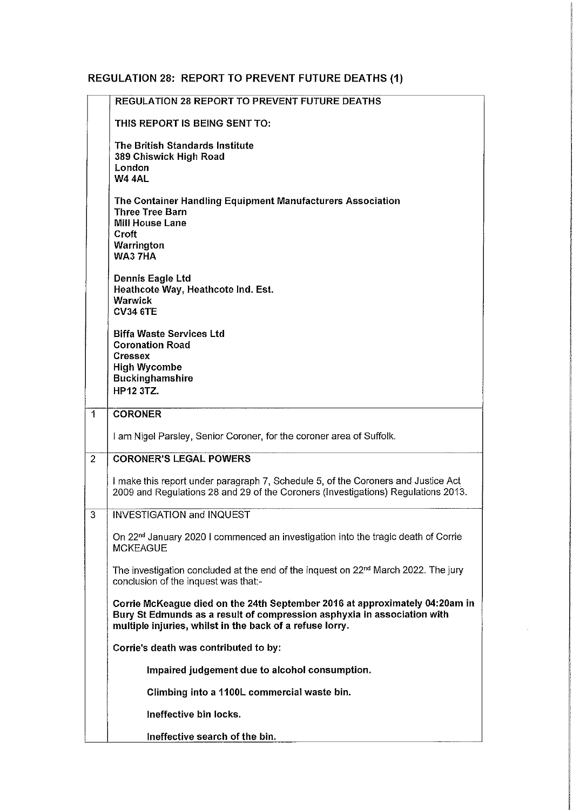## **REGULATION 28: REPORT TO PREVENT FUTURE DEATHS (1)**

|                | REGULATION 28 REPORT TO PREVENT FUTURE DEATHS                                                                                                                                                                      |
|----------------|--------------------------------------------------------------------------------------------------------------------------------------------------------------------------------------------------------------------|
|                | THIS REPORT IS BEING SENT TO:                                                                                                                                                                                      |
|                | The British Standards Institute<br>389 Chiswick High Road<br>London<br><b>W4 4AL</b>                                                                                                                               |
|                | The Container Handling Equipment Manufacturers Association<br><b>Three Tree Barn</b><br><b>Mill House Lane</b><br>Croft<br>Warrington                                                                              |
|                | WA3 7HA<br>Dennis Eagle Ltd<br>Heathcote Way, Heathcote Ind. Est.<br><b>Warwick</b><br><b>CV34 6TE</b>                                                                                                             |
|                | <b>Biffa Waste Services Ltd</b><br><b>Coronation Road</b><br><b>Cressex</b><br><b>High Wycombe</b><br><b>Buckinghamshire</b><br><b>HP12 3TZ.</b>                                                                   |
| $\mathbf{1}$   | <b>CORONER</b>                                                                                                                                                                                                     |
|                | I am Nigel Parsley, Senior Coroner, for the coroner area of Suffolk.                                                                                                                                               |
| $\overline{2}$ | <b>CORONER'S LEGAL POWERS</b>                                                                                                                                                                                      |
|                | I make this report under paragraph 7, Schedule 5, of the Coroners and Justice Act<br>2009 and Regulations 28 and 29 of the Coroners (Investigations) Regulations 2013.                                             |
| 3              | <b>INVESTIGATION and INQUEST</b>                                                                                                                                                                                   |
|                | On 22 <sup>nd</sup> January 2020 I commenced an investigation into the tragic death of Corrie<br><b>MCKEAGUE</b>                                                                                                   |
|                | The investigation concluded at the end of the inquest on $22nd$ March 2022. The jury<br>conclusion of the inquest was that:-                                                                                       |
|                | Corrie McKeague died on the 24th September 2016 at approximately 04:20am in<br>Bury St Edmunds as a result of compression asphyxia in association with<br>multiple injuries, whilst in the back of a refuse lorry. |
|                | Corrie's death was contributed to by:                                                                                                                                                                              |
|                | Impaired judgement due to alcohol consumption.                                                                                                                                                                     |
|                | Climbing into a 1100L commercial waste bin.                                                                                                                                                                        |
|                | Ineffective bin locks.                                                                                                                                                                                             |
|                | Ineffective search of the bin.                                                                                                                                                                                     |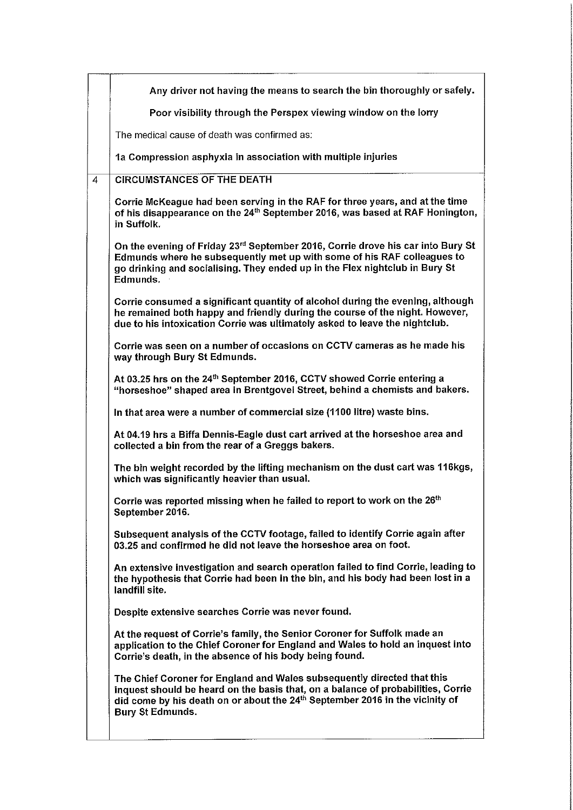|                | Any driver not having the means to search the bin thoroughly or safely.                                                                                                                                                                                                            |
|----------------|------------------------------------------------------------------------------------------------------------------------------------------------------------------------------------------------------------------------------------------------------------------------------------|
|                | Poor visibility through the Perspex viewing window on the lorry                                                                                                                                                                                                                    |
|                | The medical cause of death was confirmed as:                                                                                                                                                                                                                                       |
|                | 1a Compression asphyxia in association with multiple injuries                                                                                                                                                                                                                      |
| $\overline{4}$ | <b>CIRCUMSTANCES OF THE DEATH</b>                                                                                                                                                                                                                                                  |
|                | Corrie McKeague had been serving in the RAF for three years, and at the time<br>of his disappearance on the 24 <sup>th</sup> September 2016, was based at RAF Honington,<br>in Suffolk.                                                                                            |
|                | On the evening of Friday 23 <sup>rd</sup> September 2016, Corrie drove his car into Bury St<br>Edmunds where he subsequently met up with some of his RAF colleagues to<br>go drinking and socialising. They ended up in the Flex nightclub in Bury St<br>Edmunds.                  |
|                | Corrie consumed a significant quantity of alcohol during the evening, although<br>he remained both happy and friendly during the course of the night. However,<br>due to his intoxication Corrie was ultimately asked to leave the nightclub.                                      |
|                | Corrie was seen on a number of occasions on CCTV cameras as he made his<br>way through Bury St Edmunds.                                                                                                                                                                            |
|                | At 03.25 hrs on the 24 <sup>th</sup> September 2016, CCTV showed Corrie entering a<br>"horseshoe" shaped area in Brentgovel Street, behind a chemists and bakers.                                                                                                                  |
|                | In that area were a number of commercial size (1100 litre) waste bins.                                                                                                                                                                                                             |
|                | At 04.19 hrs a Biffa Dennis-Eagle dust cart arrived at the horseshoe area and<br>collected a bin from the rear of a Greggs bakers.                                                                                                                                                 |
|                | The bin weight recorded by the lifting mechanism on the dust cart was 116kgs,<br>which was significantly heavier than usual.                                                                                                                                                       |
|                | Corrie was reported missing when he failed to report to work on the 26 <sup>th</sup><br>September 2016.                                                                                                                                                                            |
|                | Subsequent analysis of the CCTV footage, failed to identify Corrie again after<br>03.25 and confirmed he did not leave the horseshoe area on foot.                                                                                                                                 |
|                | An extensive investigation and search operation failed to find Corrie, leading to<br>the hypothesis that Corrie had been in the bin, and his body had been lost in a<br>landfill site.                                                                                             |
|                | Despite extensive searches Corrie was never found.                                                                                                                                                                                                                                 |
|                | At the request of Corrie's family, the Senior Coroner for Suffolk made an<br>application to the Chief Coroner for England and Wales to hold an inquest into<br>Corrie's death, in the absence of his body being found.                                                             |
|                | The Chief Coroner for England and Wales subsequently directed that this<br>inquest should be heard on the basis that, on a balance of probabilities, Corrie<br>did come by his death on or about the 24 <sup>th</sup> September 2016 in the vicinity of<br><b>Bury St Edmunds.</b> |
|                |                                                                                                                                                                                                                                                                                    |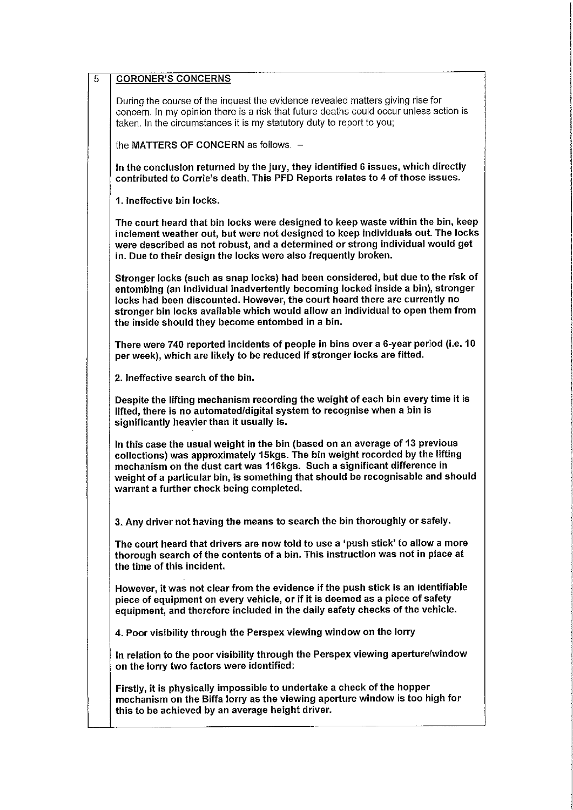| $\overline{5}$ | <b>CORONER'S CONCERNS</b>                                                                                                                                                                                                                                                                                                                                                             |
|----------------|---------------------------------------------------------------------------------------------------------------------------------------------------------------------------------------------------------------------------------------------------------------------------------------------------------------------------------------------------------------------------------------|
|                | During the course of the inquest the evidence revealed matters giving rise for<br>concern. In my opinion there is a risk that future deaths could occur unless action is<br>taken. In the circumstances it is my statutory duty to report to you;                                                                                                                                     |
|                | the MATTERS OF CONCERN as follows. -                                                                                                                                                                                                                                                                                                                                                  |
|                | In the conclusion returned by the jury, they identified 6 issues, which directly<br>contributed to Corrie's death. This PFD Reports relates to 4 of those issues.                                                                                                                                                                                                                     |
|                | 1. Ineffective bin locks.                                                                                                                                                                                                                                                                                                                                                             |
|                | The court heard that bin locks were designed to keep waste within the bin, keep<br>inclement weather out, but were not designed to keep individuals out. The locks<br>were described as not robust, and a determined or strong individual would get<br>in. Due to their design the locks were also frequently broken.                                                                 |
|                | Stronger locks (such as snap locks) had been considered, but due to the risk of<br>entombing (an individual inadvertently becoming locked inside a bin), stronger<br>locks had been discounted. However, the court heard there are currently no<br>stronger bin locks available which would allow an individual to open them from<br>the inside should they become entombed in a bin. |
|                | There were 740 reported incidents of people in bins over a 6-year period (i.e. 10<br>per week), which are likely to be reduced if stronger locks are fitted.                                                                                                                                                                                                                          |
|                | 2. Ineffective search of the bin.                                                                                                                                                                                                                                                                                                                                                     |
|                | Despite the lifting mechanism recording the weight of each bin every time it is<br>lifted, there is no automated/digital system to recognise when a bin is<br>significantly heavier than it usually is.                                                                                                                                                                               |
|                | In this case the usual weight in the bin (based on an average of 13 previous<br>collections) was approximately 15kgs. The bin weight recorded by the lifting<br>mechanism on the dust cart was 116kgs. Such a significant difference in<br>weight of a particular bin, is something that should be recognisable and should<br>warrant a further check being completed.                |
|                | 3. Any driver not having the means to search the bin thoroughly or safely.                                                                                                                                                                                                                                                                                                            |
|                | The court heard that drivers are now told to use a 'push stick' to allow a more<br>thorough search of the contents of a bin. This instruction was not in place at<br>the time of this incident.                                                                                                                                                                                       |
|                | However, it was not clear from the evidence if the push stick is an identifiable<br>piece of equipment on every vehicle, or if it is deemed as a piece of safety<br>equipment, and therefore included in the daily safety checks of the vehicle.                                                                                                                                      |
|                | 4. Poor visibility through the Perspex viewing window on the lorry                                                                                                                                                                                                                                                                                                                    |
|                | In relation to the poor visibility through the Perspex viewing aperture/window<br>on the lorry two factors were identified:                                                                                                                                                                                                                                                           |
|                | Firstly, it is physically impossible to undertake a check of the hopper<br>mechanism on the Biffa lorry as the viewing aperture window is too high for<br>this to be achieved by an average height driver.                                                                                                                                                                            |